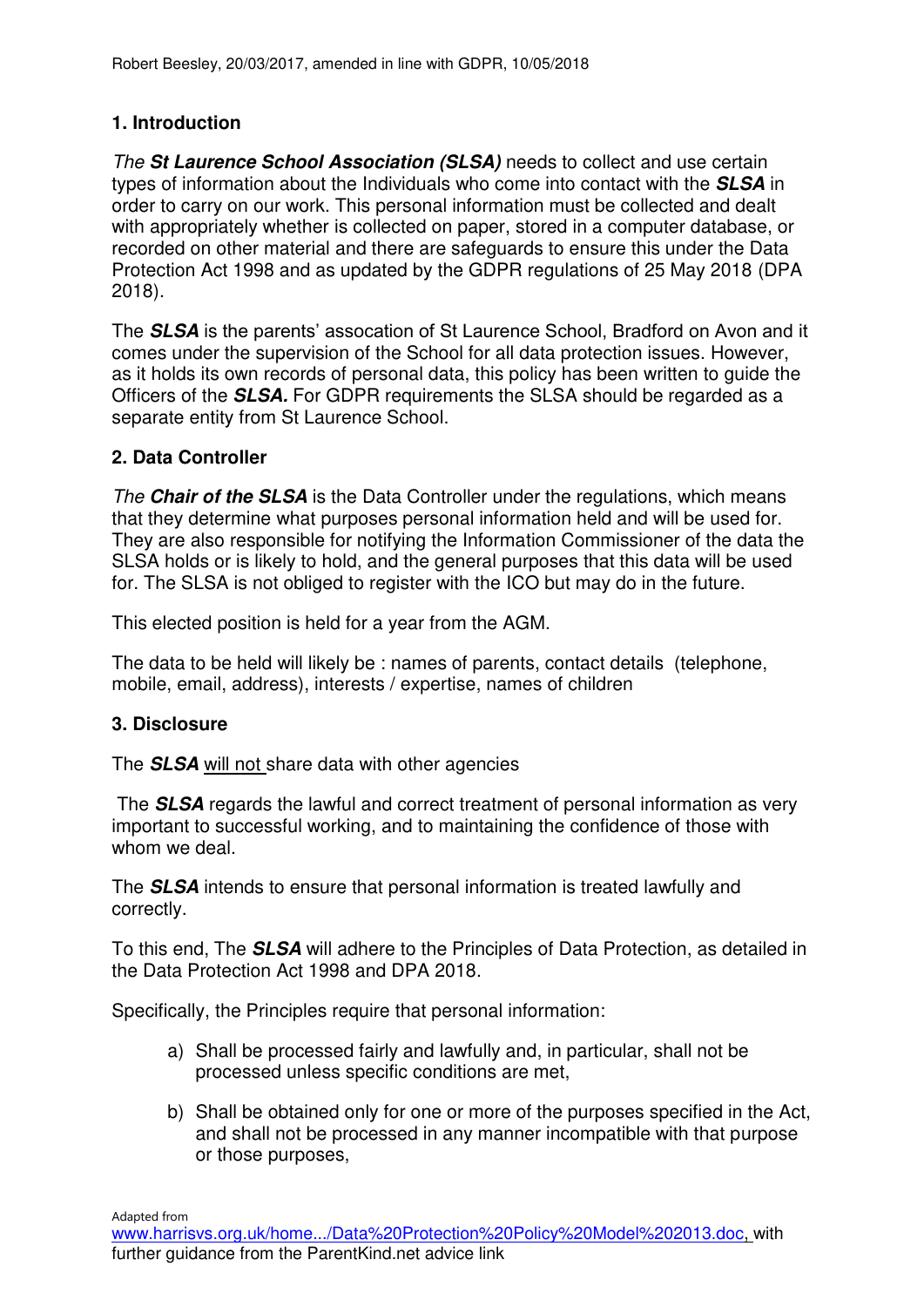# **1. Introduction**

The **St Laurence School Association (SLSA)** needs to collect and use certain types of information about the Individuals who come into contact with the **SLSA** in order to carry on our work. This personal information must be collected and dealt with appropriately whether is collected on paper, stored in a computer database, or recorded on other material and there are safeguards to ensure this under the Data Protection Act 1998 and as updated by the GDPR regulations of 25 May 2018 (DPA 2018).

The **SLSA** is the parents' assocation of St Laurence School, Bradford on Avon and it comes under the supervision of the School for all data protection issues. However, as it holds its own records of personal data, this policy has been written to guide the Officers of the **SLSA.** For GDPR requirements the SLSA should be regarded as a separate entity from St Laurence School.

## **2. Data Controller**

The **Chair of the SLSA** is the Data Controller under the regulations, which means that they determine what purposes personal information held and will be used for. They are also responsible for notifying the Information Commissioner of the data the SLSA holds or is likely to hold, and the general purposes that this data will be used for. The SLSA is not obliged to register with the ICO but may do in the future.

This elected position is held for a year from the AGM.

The data to be held will likely be : names of parents, contact details (telephone, mobile, email, address), interests / expertise, names of children

#### **3. Disclosure**

The **SLSA** will not share data with other agencies

The **SLSA** regards the lawful and correct treatment of personal information as very important to successful working, and to maintaining the confidence of those with whom we deal.

The **SLSA** intends to ensure that personal information is treated lawfully and correctly.

To this end, The **SLSA** will adhere to the Principles of Data Protection, as detailed in the Data Protection Act 1998 and DPA 2018.

Specifically, the Principles require that personal information:

- a) Shall be processed fairly and lawfully and, in particular, shall not be processed unless specific conditions are met,
- b) Shall be obtained only for one or more of the purposes specified in the Act, and shall not be processed in any manner incompatible with that purpose or those purposes,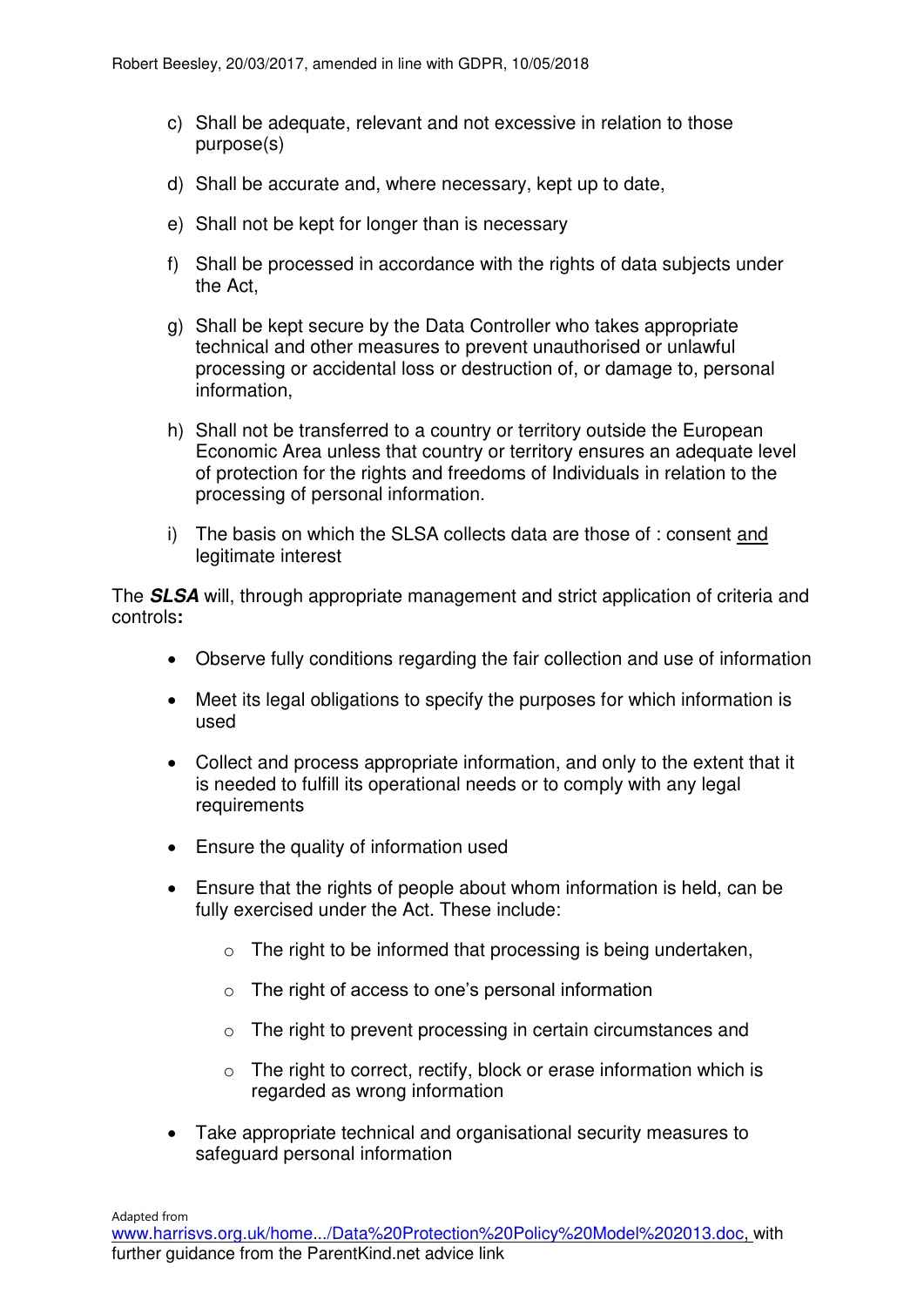- c) Shall be adequate, relevant and not excessive in relation to those purpose(s)
- d) Shall be accurate and, where necessary, kept up to date,
- e) Shall not be kept for longer than is necessary
- f) Shall be processed in accordance with the rights of data subjects under the Act,
- g) Shall be kept secure by the Data Controller who takes appropriate technical and other measures to prevent unauthorised or unlawful processing or accidental loss or destruction of, or damage to, personal information,
- h) Shall not be transferred to a country or territory outside the European Economic Area unless that country or territory ensures an adequate level of protection for the rights and freedoms of Individuals in relation to the processing of personal information.
- i) The basis on which the SLSA collects data are those of : consent and legitimate interest

The **SLSA** will, through appropriate management and strict application of criteria and controls**:**

- Observe fully conditions regarding the fair collection and use of information
- Meet its legal obligations to specify the purposes for which information is used
- Collect and process appropriate information, and only to the extent that it is needed to fulfill its operational needs or to comply with any legal requirements
- Ensure the quality of information used
- Ensure that the rights of people about whom information is held, can be fully exercised under the Act. These include:
	- $\circ$  The right to be informed that processing is being undertaken,
	- o The right of access to one's personal information
	- o The right to prevent processing in certain circumstances and
	- $\circ$  The right to correct, rectify, block or erase information which is regarded as wrong information
- Take appropriate technical and organisational security measures to safeguard personal information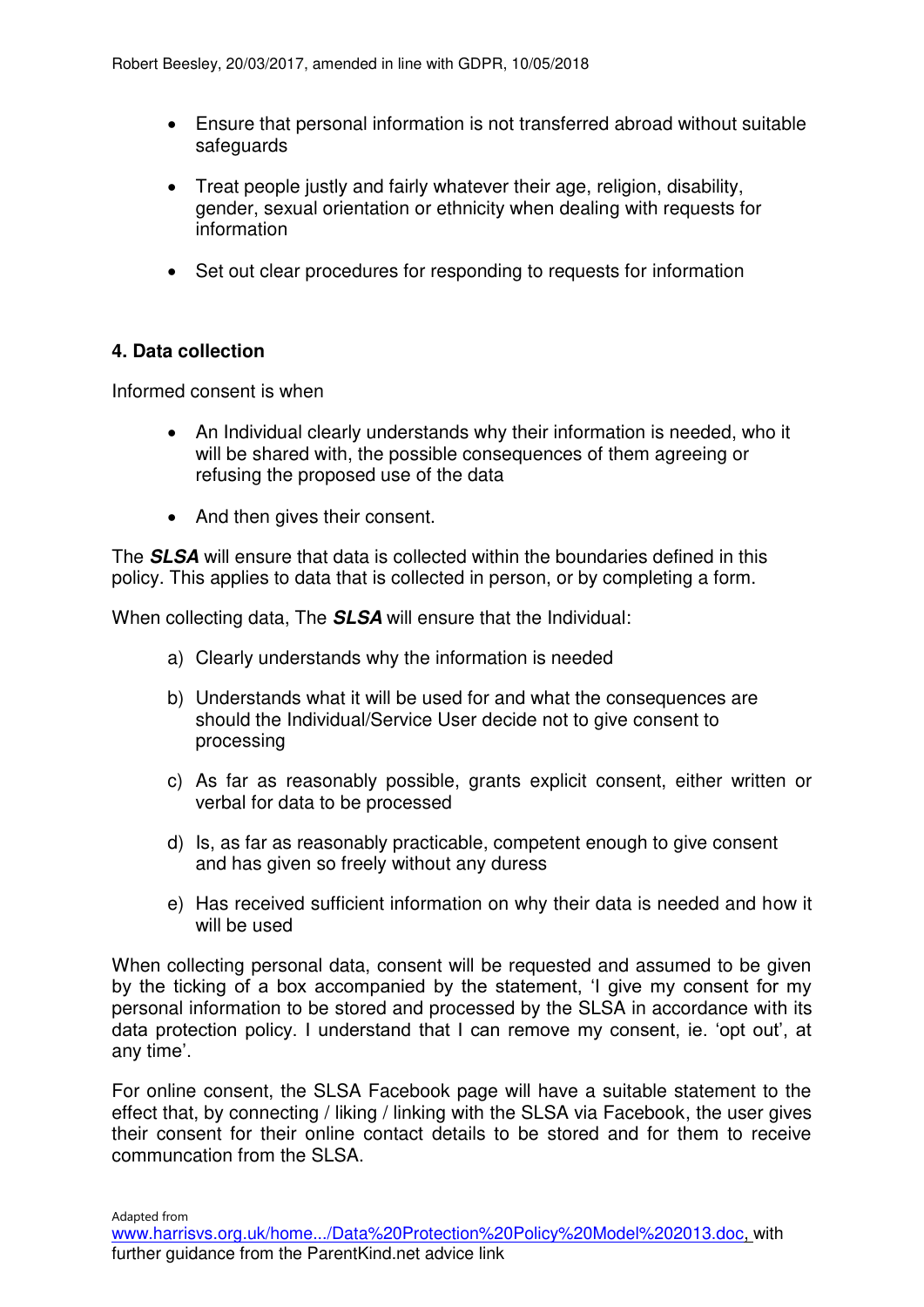- Ensure that personal information is not transferred abroad without suitable safeguards
- Treat people justly and fairly whatever their age, religion, disability, gender, sexual orientation or ethnicity when dealing with requests for information
- Set out clear procedures for responding to requests for information

## **4. Data collection**

Informed consent is when

- An Individual clearly understands why their information is needed, who it will be shared with, the possible consequences of them agreeing or refusing the proposed use of the data
- And then gives their consent.

The **SLSA** will ensure that data is collected within the boundaries defined in this policy. This applies to data that is collected in person, or by completing a form.

When collecting data, The **SLSA** will ensure that the Individual:

- a) Clearly understands why the information is needed
- b) Understands what it will be used for and what the consequences are should the Individual/Service User decide not to give consent to processing
- c) As far as reasonably possible, grants explicit consent, either written or verbal for data to be processed
- d) Is, as far as reasonably practicable, competent enough to give consent and has given so freely without any duress
- e) Has received sufficient information on why their data is needed and how it will be used

When collecting personal data, consent will be requested and assumed to be given by the ticking of a box accompanied by the statement, 'I give my consent for my personal information to be stored and processed by the SLSA in accordance with its data protection policy. I understand that I can remove my consent, ie. 'opt out', at any time'.

For online consent, the SLSA Facebook page will have a suitable statement to the effect that, by connecting / liking / linking with the SLSA via Facebook, the user gives their consent for their online contact details to be stored and for them to receive communcation from the SLSA.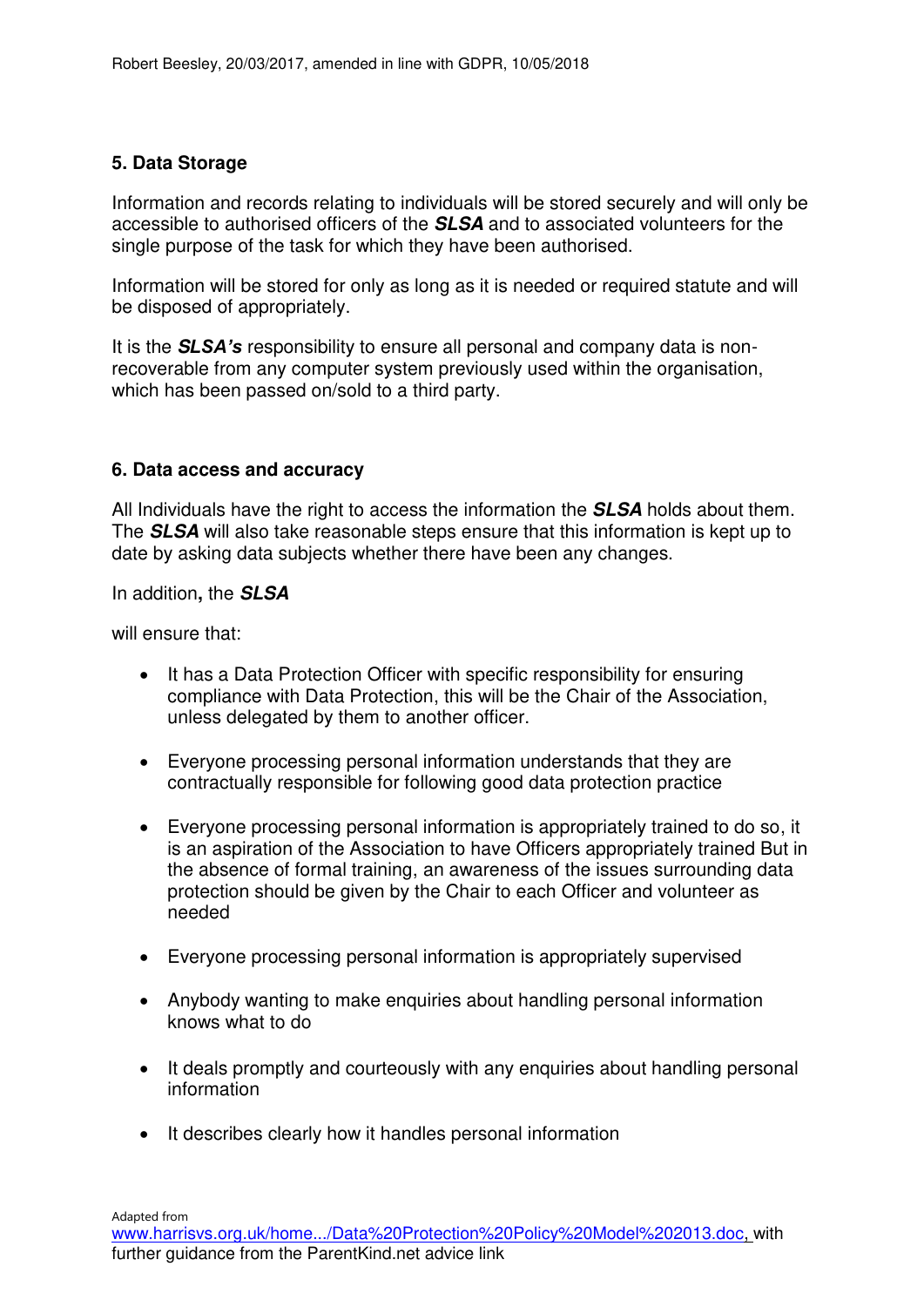## **5. Data Storage**

Information and records relating to individuals will be stored securely and will only be accessible to authorised officers of the **SLSA** and to associated volunteers for the single purpose of the task for which they have been authorised.

Information will be stored for only as long as it is needed or required statute and will be disposed of appropriately.

It is the **S***LSA's* responsibility to ensure all personal and company data is nonrecoverable from any computer system previously used within the organisation, which has been passed on/sold to a third party.

#### **6. Data access and accuracy**

All Individuals have the right to access the information the **SLSA** holds about them. The **SLSA** will also take reasonable steps ensure that this information is kept up to date by asking data subjects whether there have been any changes.

In addition**,** the **SLSA**

will ensure that:

- It has a Data Protection Officer with specific responsibility for ensuring compliance with Data Protection, this will be the Chair of the Association, unless delegated by them to another officer.
- Everyone processing personal information understands that they are contractually responsible for following good data protection practice
- Everyone processing personal information is appropriately trained to do so, it is an aspiration of the Association to have Officers appropriately trained But in the absence of formal training, an awareness of the issues surrounding data protection should be given by the Chair to each Officer and volunteer as needed
- Everyone processing personal information is appropriately supervised
- Anybody wanting to make enquiries about handling personal information knows what to do
- It deals promptly and courteously with any enquiries about handling personal information
- It describes clearly how it handles personal information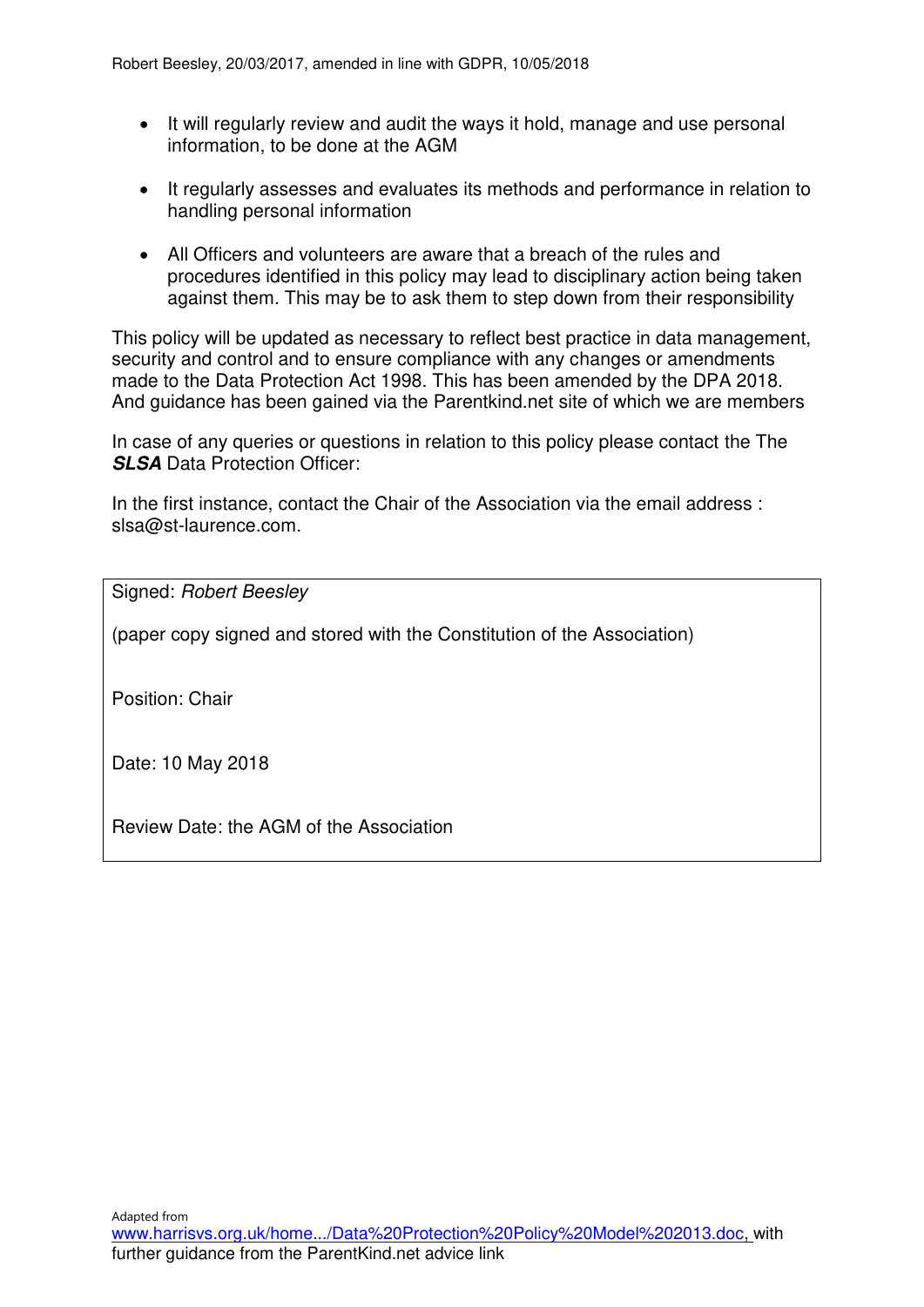- It will regularly review and audit the ways it hold, manage and use personal information, to be done at the AGM
- It regularly assesses and evaluates its methods and performance in relation to handling personal information
- All Officers and volunteers are aware that a breach of the rules and procedures identified in this policy may lead to disciplinary action being taken against them. This may be to ask them to step down from their responsibility

This policy will be updated as necessary to reflect best practice in data management, security and control and to ensure compliance with any changes or amendments made to the Data Protection Act 1998. This has been amended by the DPA 2018. And guidance has been gained via the Parentkind.net site of which we are members

In case of any queries or questions in relation to this policy please contact the The **SLSA** Data Protection Officer:

In the first instance, contact the Chair of the Association via the email address : slsa@st-laurence.com.

Signed: Robert Beesley

(paper copy signed and stored with the Constitution of the Association)

Position: Chair

Date: 10 May 2018

Review Date: the AGM of the Association